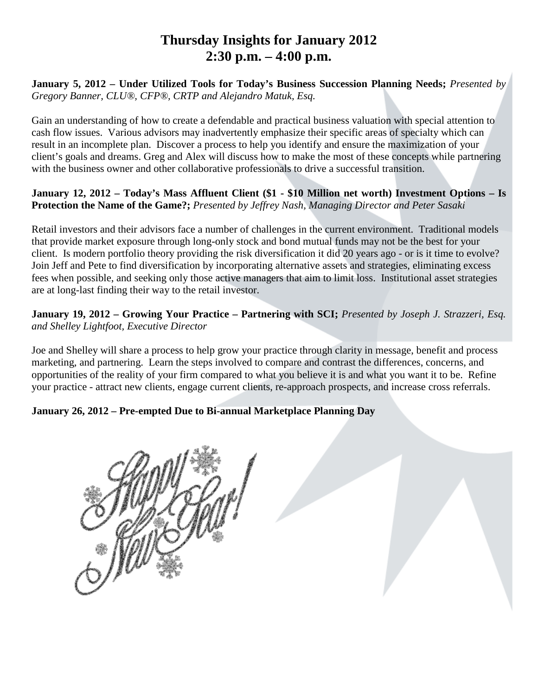# **Thursday Insights for January 2012 2:30 p.m. – 4:00 p.m.**

**January 5, 2012 – Under Utilized Tools for Today's Business Succession Planning Needs;** *Presented by Gregory Banner, CLU®, CFP®, CRTP and Alejandro Matuk, Esq.*

Gain an understanding of how to create a defendable and practical business valuation with special attention to cash flow issues. Various advisors may inadvertently emphasize their specific areas of specialty which can result in an incomplete plan. Discover a process to help you identify and ensure the maximization of your client's goals and dreams. Greg and Alex will discuss how to make the most of these concepts while partnering with the business owner and other collaborative professionals to drive a successful transition.

#### **January 12, 2012 – Today's Mass Affluent Client (\$1 - \$10 Million net worth) Investment Options – Is Protection the Name of the Game?;** *Presented by Jeffrey Nash, Managing Director and Peter Sasaki*

Retail investors and their advisors face a number of challenges in the current environment. Traditional models that provide market exposure through long-only stock and bond mutual funds may not be the best for your client. Is modern portfolio theory providing the risk diversification it did 20 years ago - or is it time to evolve? Join Jeff and Pete to find diversification by incorporating alternative assets and strategies, eliminating excess fees when possible, and seeking only those active managers that aim to limit loss. Institutional asset strategies are at long-last finding their way to the retail investor.

### **January 19, 2012 – Growing Your Practice – Partnering with SCI;** *Presented by Joseph J. Strazzeri, Esq. and Shelley Lightfoot, Executive Director*

Joe and Shelley will share a process to help grow your practice through clarity in message, benefit and process marketing, and partnering. Learn the steps involved to compare and contrast the differences, concerns, and opportunities of the reality of your firm compared to what you believe it is and what you want it to be. Refine your practice - attract new clients, engage current clients, re-approach prospects, and increase cross referrals.

### **January 26, 2012 – Pre-empted Due to Bi-annual Marketplace Planning Day**

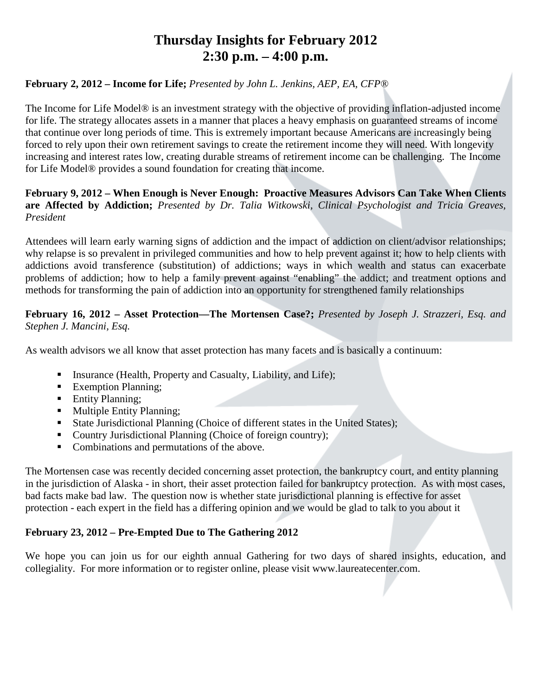# **Thursday Insights for February 2012 2:30 p.m. – 4:00 p.m.**

### **February 2, 2012 – Income for Life;** *Presented by John L. Jenkins, AEP, EA, CFP®*

The Income for Life Model® is an investment strategy with the objective of providing inflation-adjusted income for life. The strategy allocates assets in a manner that places a heavy emphasis on guaranteed streams of income that continue over long periods of time. This is extremely important because Americans are increasingly being forced to rely upon their own retirement savings to create the retirement income they will need. With longevity increasing and interest rates low, creating durable streams of retirement income can be challenging. The Income for Life Model® provides a sound foundation for creating that income.

#### **February 9, 2012 – When Enough is Never Enough: Proactive Measures Advisors Can Take When Clients are Affected by Addiction;** *Presented by Dr. Talia Witkowski, Clinical Psychologist and Tricia Greaves, President*

Attendees will learn early warning signs of addiction and the impact of addiction on client/advisor relationships; why relapse is so prevalent in privileged communities and how to help prevent against it; how to help clients with addictions avoid transference (substitution) of addictions; ways in which wealth and status can exacerbate problems of addiction; how to help a family prevent against "enabling" the addict; and treatment options and methods for transforming the pain of addiction into an opportunity for strengthened family relationships

### **February 16, 2012 – Asset Protection—The Mortensen Case?;** *Presented by Joseph J. Strazzeri, Esq. and Stephen J. Mancini, Esq.*

As wealth advisors we all know that asset protection has many facets and is basically a continuum:

- Insurance (Health, Property and Casualty, Liability, and Life);
- **Exemption Planning;**
- **Entity Planning;**
- **Multiple Entity Planning;**
- State Jurisdictional Planning (Choice of different states in the United States);
- Country Jurisdictional Planning (Choice of foreign country);
- Combinations and permutations of the above.

The Mortensen case was recently decided concerning asset protection, the bankruptcy court, and entity planning in the jurisdiction of Alaska - in short, their asset protection failed for bankruptcy protection. As with most cases, bad facts make bad law. The question now is whether state jurisdictional planning is effective for asset protection - each expert in the field has a differing opinion and we would be glad to talk to you about it

### **February 23, 2012 – Pre-Empted Due to The Gathering 2012**

We hope you can join us for our eighth annual Gathering for two days of shared insights, education, and collegiality. For more information or to register online, please visit www.laureatecenter.com.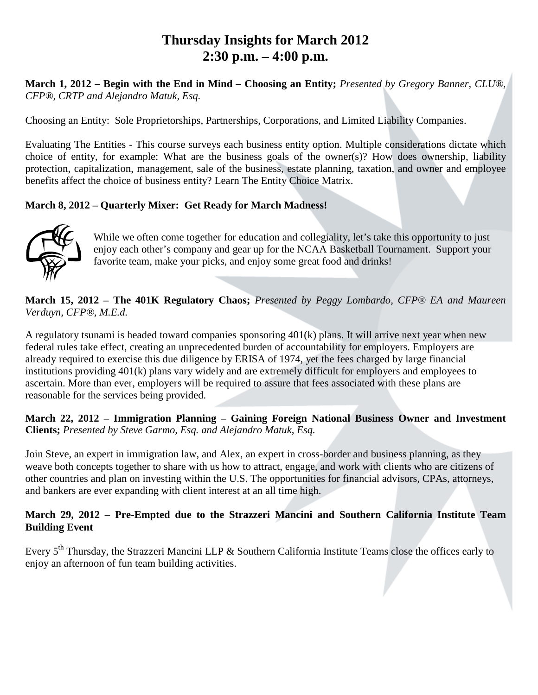# **Thursday Insights for March 2012 2:30 p.m. – 4:00 p.m.**

**March 1, 2012 – Begin with the End in Mind – Choosing an Entity;** *Presented by Gregory Banner, CLU®, CFP®, CRTP and Alejandro Matuk, Esq.*

Choosing an Entity: Sole Proprietorships, Partnerships, Corporations, and Limited Liability Companies.

Evaluating The Entities - This course surveys each business entity option. Multiple considerations dictate which choice of entity, for example: What are the business goals of the owner(s)? How does ownership, liability protection, capitalization, management, sale of the business, estate planning, taxation, and owner and employee benefits affect the choice of business entity? Learn The Entity Choice Matrix.

### **March 8, 2012 – Quarterly Mixer: Get Ready for March Madness!**



While we often come together for education and collegiality, let's take this opportunity to just enjoy each other's company and gear up for the NCAA Basketball Tournament. Support your favorite team, make your picks, and enjoy some great food and drinks!

**March 15, 2012 – The 401K Regulatory Chaos;** *Presented by Peggy Lombardo, CFP® EA and Maureen Verduyn, CFP®, M.E.d.*

A regulatory tsunami is headed toward companies sponsoring 401(k) plans. It will arrive next year when new federal rules take effect, creating an unprecedented burden of accountability for employers. Employers are already required to exercise this due diligence by ERISA of 1974, yet the fees charged by large financial institutions providing 401(k) plans vary widely and are extremely difficult for employers and employees to ascertain. More than ever, employers will be required to assure that fees associated with these plans are reasonable for the services being provided.

**March 22, 2012 – Immigration Planning – Gaining Foreign National Business Owner and Investment Clients;** *Presented by Steve Garmo, Esq. and Alejandro Matuk, Esq.*

Join Steve, an expert in immigration law, and Alex, an expert in cross-border and business planning, as they weave both concepts together to share with us how to attract, engage, and work with clients who are citizens of other countries and plan on investing within the U.S. The opportunities for financial advisors, CPAs, attorneys, and bankers are ever expanding with client interest at an all time high.

#### **March 29, 2012** – **Pre-Empted due to the Strazzeri Mancini and Southern California Institute Team Building Event**

Every 5<sup>th</sup> Thursday, the Strazzeri Mancini LLP & Southern California Institute Teams close the offices early to enjoy an afternoon of fun team building activities.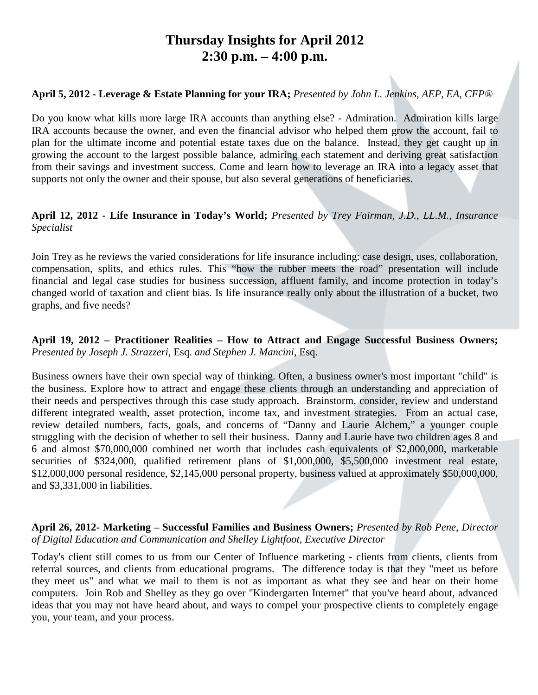# **Thursday Insights for April 2012 2:30 p.m. – 4:00 p.m.**

#### **April 5, 2012 - Leverage & Estate Planning for your IRA;** *Presented by John L. Jenkins, AEP, EA, CFP®*

Do you know what kills more large IRA accounts than anything else? - Admiration. Admiration kills large IRA accounts because the owner, and even the financial advisor who helped them grow the account, fail to plan for the ultimate income and potential estate taxes due on the balance. Instead, they get caught up in growing the account to the largest possible balance, admiring each statement and deriving great satisfaction from their savings and investment success. Come and learn how to leverage an IRA into a legacy asset that supports not only the owner and their spouse, but also several generations of beneficiaries.

#### **April 12, 2012 - Life Insurance in Today's World;** *Presented by Trey Fairman, J.D., LL.M., Insurance Specialist*

Join Trey as he reviews the varied considerations for life insurance including: case design, uses, collaboration, compensation, splits, and ethics rules. This "how the rubber meets the road" presentation will include financial and legal case studies for business succession, affluent family, and income protection in today's changed world of taxation and client bias. Is life insurance really only about the illustration of a bucket, two graphs, and five needs?

#### **April 19, 2012 – Practitioner Realities – How to Attract and Engage Successful Business Owners;** *Presented by Joseph J. Strazzeri,* Esq. *and Stephen J. Mancini,* Esq.

Business owners have their own special way of thinking. Often, a business owner's most important "child" is the business. Explore how to attract and engage these clients through an understanding and appreciation of their needs and perspectives through this case study approach. Brainstorm, consider, review and understand different integrated wealth, asset protection, income tax, and investment strategies. From an actual case, review detailed numbers, facts, goals, and concerns of "Danny and Laurie Alchem," a younger couple struggling with the decision of whether to sell their business. Danny and Laurie have two children ages 8 and 6 and almost \$70,000,000 combined net worth that includes cash equivalents of \$2,000,000, marketable securities of \$324,000, qualified retirement plans of \$1,000,000, \$5,500,000 investment real estate, \$12,000,000 personal residence, \$2,145,000 personal property, business valued at approximately \$50,000,000, and \$3,331,000 in liabilities.

#### **April 26, 2012- Marketing – Successful Families and Business Owners;** *Presented by Rob Pene, Director of Digital Education and Communication and Shelley Lightfoot, Executive Director*

Today's client still comes to us from our Center of Influence marketing - clients from clients, clients from referral sources, and clients from educational programs. The difference today is that they "meet us before they meet us" and what we mail to them is not as important as what they see and hear on their home computers. Join Rob and Shelley as they go over "Kindergarten Internet" that you've heard about, advanced ideas that you may not have heard about, and ways to compel your prospective clients to completely engage you, your team, and your process.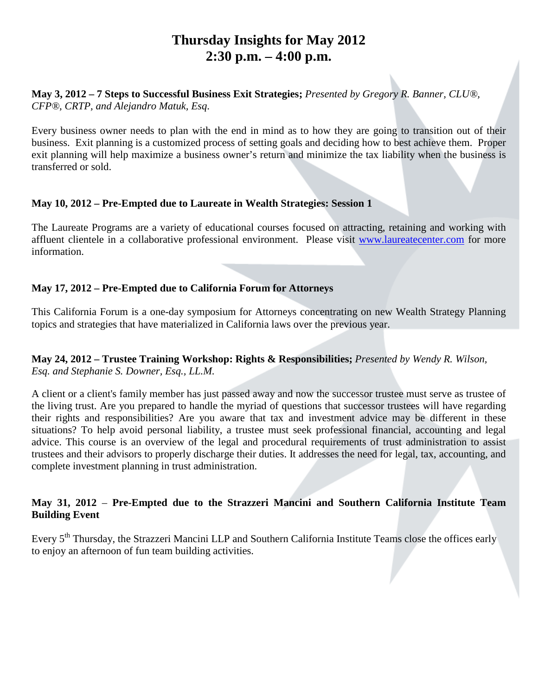# **Thursday Insights for May 2012 2:30 p.m. – 4:00 p.m.**

#### **May 3, 2012 – 7 Steps to Successful Business Exit Strategies;** *Presented by Gregory R. Banner, CLU®, CFP®, CRTP, and Alejandro Matuk, Esq*.

Every business owner needs to plan with the end in mind as to how they are going to transition out of their business. Exit planning is a customized process of setting goals and deciding how to best achieve them. Proper exit planning will help maximize a business owner's return and minimize the tax liability when the business is transferred or sold.

### **May 10, 2012 – Pre-Empted due to Laureate in Wealth Strategies: Session 1**

The Laureate Programs are a variety of educational courses focused on attracting, retaining and working with affluent clientele in a collaborative professional environment. Please visit [www.laureatecenter.com](http://www.laureatecenter.com/) for more information.

### **May 17, 2012 – Pre-Empted due to California Forum for Attorneys**

This California Forum is a one-day symposium for Attorneys concentrating on new Wealth Strategy Planning topics and strategies that have materialized in California laws over the previous year.

#### **May 24, 2012 – Trustee Training Workshop: Rights & Responsibilities;** *Presented by Wendy R. Wilson, Esq. and Stephanie S. Downer, Esq., LL.M.*

A client or a client's family member has just passed away and now the successor trustee must serve as trustee of the living trust. Are you prepared to handle the myriad of questions that successor trustees will have regarding their rights and responsibilities? Are you aware that tax and investment advice may be different in these situations? To help avoid personal liability, a trustee must seek professional financial, accounting and legal advice. This course is an overview of the legal and procedural requirements of trust administration to assist trustees and their advisors to properly discharge their duties. It addresses the need for legal, tax, accounting, and complete investment planning in trust administration.

### **May 31, 2012** – **Pre-Empted due to the Strazzeri Mancini and Southern California Institute Team Building Event**

Every 5<sup>th</sup> Thursday, the Strazzeri Mancini LLP and Southern California Institute Teams close the offices early to enjoy an afternoon of fun team building activities.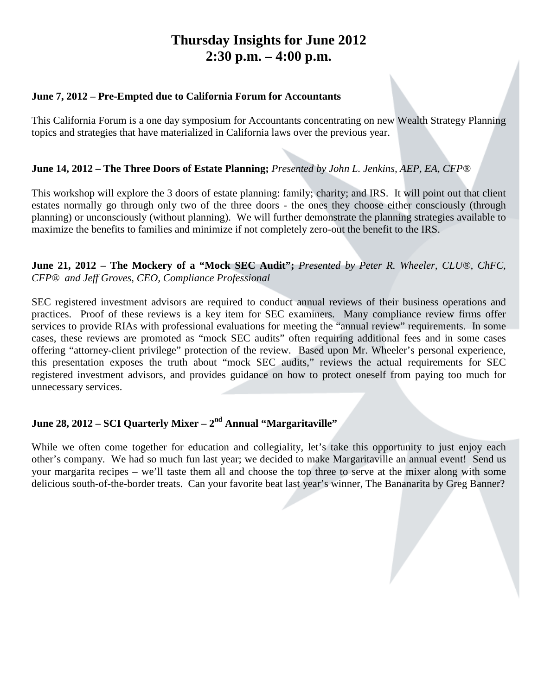# **Thursday Insights for June 2012 2:30 p.m. – 4:00 p.m.**

#### **June 7, 2012 – Pre-Empted due to California Forum for Accountants**

This California Forum is a one day symposium for Accountants concentrating on new Wealth Strategy Planning topics and strategies that have materialized in California laws over the previous year.

### **June 14, 2012 – The Three Doors of Estate Planning;** *Presented by John L. Jenkins, AEP, EA, CFP®*

This workshop will explore the 3 doors of estate planning: family; charity; and IRS. It will point out that client estates normally go through only two of the three doors - the ones they choose either consciously (through planning) or unconsciously (without planning). We will further demonstrate the planning strategies available to maximize the benefits to families and minimize if not completely zero-out the benefit to the IRS.

#### **June 21, 2012 – The Mockery of a "Mock SEC Audit";** *Presented by Peter R. Wheeler, CLU®, ChFC, CFP® and Jeff Groves, CEO, Compliance Professional*

SEC registered investment advisors are required to conduct annual reviews of their business operations and practices. Proof of these reviews is a key item for SEC examiners. Many compliance review firms offer services to provide RIAs with professional evaluations for meeting the "annual review" requirements. In some cases, these reviews are promoted as "mock SEC audits" often requiring additional fees and in some cases offering "attorney-client privilege" protection of the review. Based upon Mr. Wheeler's personal experience, this presentation exposes the truth about "mock SEC audits," reviews the actual requirements for SEC registered investment advisors, and provides guidance on how to protect oneself from paying too much for unnecessary services.

## **June 28, 2012 – SCI Quarterly Mixer – 2nd Annual "Margaritaville"**

While we often come together for education and collegiality, let's take this opportunity to just enjoy each other's company. We had so much fun last year; we decided to make Margaritaville an annual event! Send us your margarita recipes – we'll taste them all and choose the top three to serve at the mixer along with some delicious south-of-the-border treats. Can your favorite beat last year's winner, The Bananarita by Greg Banner?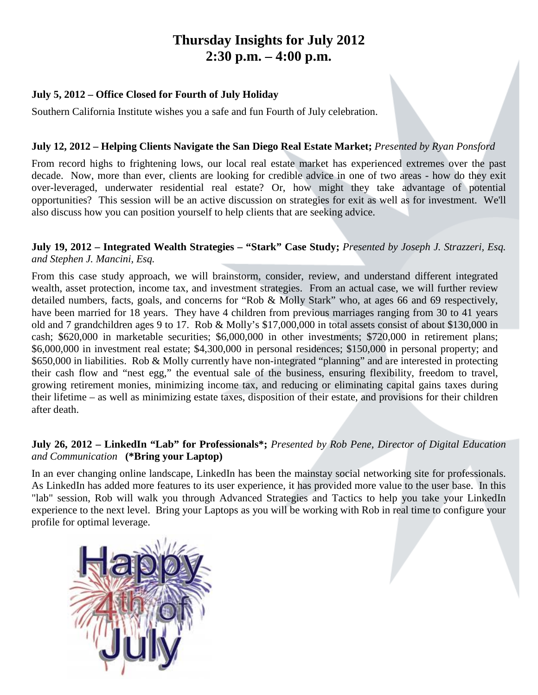# **Thursday Insights for July 2012 2:30 p.m. – 4:00 p.m.**

#### **July 5, 2012 – Office Closed for Fourth of July Holiday**

Southern California Institute wishes you a safe and fun Fourth of July celebration.

#### **July 12, 2012 – Helping Clients Navigate the San Diego Real Estate Market;** *Presented by Ryan Ponsford*

From record highs to frightening lows, our local real estate market has experienced extremes over the past decade. Now, more than ever, clients are looking for credible advice in one of two areas - how do they exit over-leveraged, underwater residential real estate? Or, how might they take advantage of potential opportunities? This session will be an active discussion on strategies for exit as well as for investment. We'll also discuss how you can position yourself to help clients that are seeking advice.

### **July 19, 2012 – Integrated Wealth Strategies – "Stark" Case Study;** *Presented by Joseph J. Strazzeri, Esq. and Stephen J. Mancini, Esq.*

From this case study approach, we will brainstorm, consider, review, and understand different integrated wealth, asset protection, income tax, and investment strategies. From an actual case, we will further review detailed numbers, facts, goals, and concerns for "Rob & Molly Stark" who, at ages 66 and 69 respectively, have been married for 18 years. They have 4 children from previous marriages ranging from 30 to 41 years old and 7 grandchildren ages 9 to 17. Rob & Molly's \$17,000,000 in total assets consist of about \$130,000 in cash; \$620,000 in marketable securities; \$6,000,000 in other investments; \$720,000 in retirement plans; \$6,000,000 in investment real estate; \$4,300,000 in personal residences; \$150,000 in personal property; and \$650,000 in liabilities. Rob & Molly currently have non-integrated "planning" and are interested in protecting their cash flow and "nest egg," the eventual sale of the business, ensuring flexibility, freedom to travel, growing retirement monies, minimizing income tax, and reducing or eliminating capital gains taxes during their lifetime – as well as minimizing estate taxes, disposition of their estate, and provisions for their children after death.

### **July 26, 2012 – LinkedIn "Lab" for Professionals\*;** *Presented by Rob Pene, Director of Digital Education and Communication* **(\*Bring your Laptop)**

In an ever changing online landscape, LinkedIn has been the mainstay social networking site for professionals. As LinkedIn has added more features to its user experience, it has provided more value to the user base. In this "lab" session, Rob will walk you through Advanced Strategies and Tactics to help you take your LinkedIn experience to the next level. Bring your Laptops as you will be working with Rob in real time to configure your profile for optimal leverage.

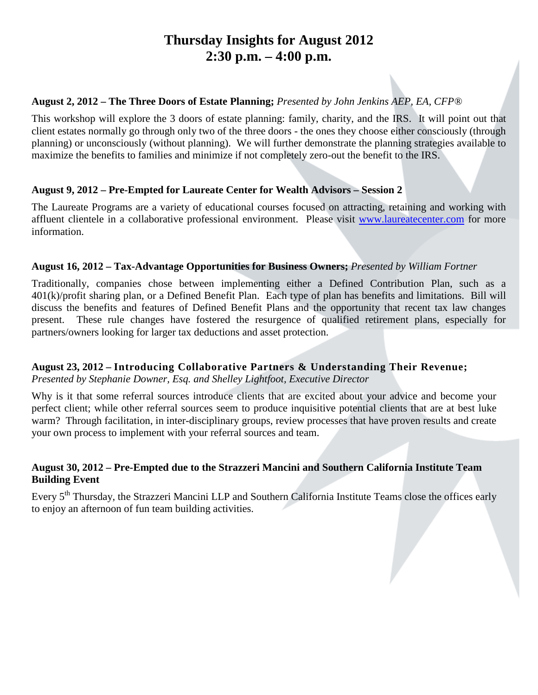# **Thursday Insights for August 2012 2:30 p.m. – 4:00 p.m.**

#### **August 2, 2012 – The Three Doors of Estate Planning;** *Presented by John Jenkins AEP, EA, CFP®*

This workshop will explore the 3 doors of estate planning: family, charity, and the IRS. It will point out that client estates normally go through only two of the three doors - the ones they choose either consciously (through planning) or unconsciously (without planning). We will further demonstrate the planning strategies available to maximize the benefits to families and minimize if not completely zero-out the benefit to the IRS.

### **August 9, 2012 – Pre-Empted for Laureate Center for Wealth Advisors – Session 2**

The Laureate Programs are a variety of educational courses focused on attracting, retaining and working with affluent clientele in a collaborative professional environment. Please visit [www.laureatecenter.com](http://www.laureatecenter.com/) for more information.

#### **August 16, 2012 – Tax-Advantage Opportunities for Business Owners;** *Presented by William Fortner*

Traditionally, companies chose between implementing either a Defined Contribution Plan, such as a 401(k)/profit sharing plan, or a Defined Benefit Plan. Each type of plan has benefits and limitations. Bill will discuss the benefits and features of Defined Benefit Plans and the opportunity that recent tax law changes present. These rule changes have fostered the resurgence of qualified retirement plans, especially for partners/owners looking for larger tax deductions and asset protection.

## **August 23, 2012 – Introducing Collaborative Partners & Understanding Their Revenue;**

*Presented by Stephanie Downer, Esq. and Shelley Lightfoot, Executive Director*

Why is it that some referral sources introduce clients that are excited about your advice and become your perfect client; while other referral sources seem to produce inquisitive potential clients that are at best luke warm? Through facilitation, in inter-disciplinary groups, review processes that have proven results and create your own process to implement with your referral sources and team.

### **August 30, 2012 – Pre-Empted due to the Strazzeri Mancini and Southern California Institute Team Building Event**

Every 5<sup>th</sup> Thursday, the Strazzeri Mancini LLP and Southern California Institute Teams close the offices early to enjoy an afternoon of fun team building activities.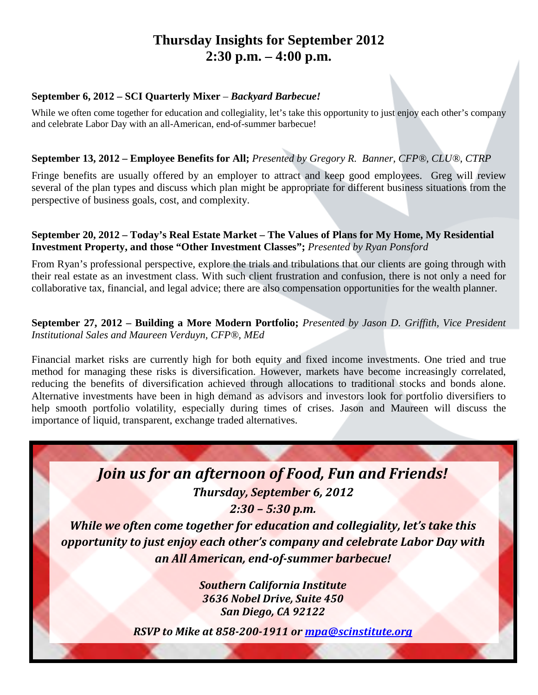# **Thursday Insights for September 2012 2:30 p.m. – 4:00 p.m.**

#### **September 6, 2012 – SCI Quarterly Mixer** *– Backyard Barbecue!*

While we often come together for education and collegiality, let's take this opportunity to just enjoy each other's company and celebrate Labor Day with an all-American, end-of-summer barbecue!

#### **September 13, 2012 – Employee Benefits for All;** *Presented by Gregory R. Banner, CFP®, CLU®, CTRP*

Fringe benefits are usually offered by an employer to attract and keep good employees. Greg will review several of the plan types and discuss which plan might be appropriate for different business situations from the perspective of business goals, cost, and complexity.

#### **September 20, 2012 – Today's Real Estate Market – The Values of Plans for My Home, My Residential Investment Property, and those "Other Investment Classes";** *Presented by Ryan Ponsford*

From Ryan's professional perspective, explore the trials and tribulations that our clients are going through with their real estate as an investment class. With such client frustration and confusion, there is not only a need for collaborative tax, financial, and legal advice; there are also compensation opportunities for the wealth planner.

#### **September 27, 2012 – Building a More Modern Portfolio;** *Presented by Jason D. Griffith, Vice President Institutional Sales and Maureen Verduyn, CFP®, MEd*

Financial market risks are currently high for both equity and fixed income investments. One tried and true method for managing these risks is diversification. However, markets have become increasingly correlated, reducing the benefits of diversification achieved through allocations to traditional stocks and bonds alone. Alternative investments have been in high demand as advisors and investors look for portfolio diversifiers to help smooth portfolio volatility, especially during times of crises. Jason and Maureen will discuss the importance of liquid, transparent, exchange traded alternatives.

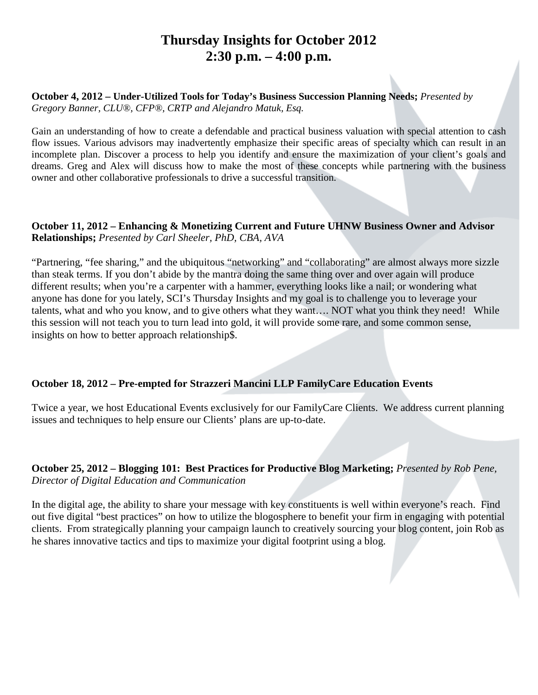# **Thursday Insights for October 2012 2:30 p.m. – 4:00 p.m.**

#### **October 4, 2012 – Under-Utilized Tools for Today's Business Succession Planning Needs;** *Presented by Gregory Banner, CLU®, CFP®, CRTP and Alejandro Matuk, Esq.*

Gain an understanding of how to create a defendable and practical business valuation with special attention to cash flow issues. Various advisors may inadvertently emphasize their specific areas of specialty which can result in an incomplete plan. Discover a process to help you identify and ensure the maximization of your client's goals and dreams. Greg and Alex will discuss how to make the most of these concepts while partnering with the business owner and other collaborative professionals to drive a successful transition.

#### **October 11, 2012 – Enhancing & Monetizing Current and Future UHNW Business Owner and Advisor Relationships;** *Presented by Carl Sheeler, PhD, CBA, AVA*

"Partnering, "fee sharing," and the ubiquitous "networking" and "collaborating" are almost always more sizzle than steak terms. If you don't abide by the mantra doing the same thing over and over again will produce different results; when you're a carpenter with a hammer, everything looks like a nail; or wondering what anyone has done for you lately, SCI's Thursday Insights and my goal is to challenge you to leverage your talents, what and who you know, and to give others what they want…. NOT what you think they need! While this session will not teach you to turn lead into gold, it will provide some rare, and some common sense, insights on how to better approach relationship\$.

#### **October 18, 2012 – Pre-empted for Strazzeri Mancini LLP FamilyCare Education Events**

Twice a year, we host Educational Events exclusively for our FamilyCare Clients. We address current planning issues and techniques to help ensure our Clients' plans are up-to-date.

#### **October 25, 2012 – Blogging 101: Best Practices for Productive Blog Marketing;** *Presented by Rob Pene, Director of Digital Education and Communication*

In the digital age, the ability to share your message with key constituents is well within everyone's reach. Find out five digital "best practices" on how to utilize the blogosphere to benefit your firm in engaging with potential clients. From strategically planning your campaign launch to creatively sourcing your blog content, join Rob as he shares innovative tactics and tips to maximize your digital footprint using a blog.